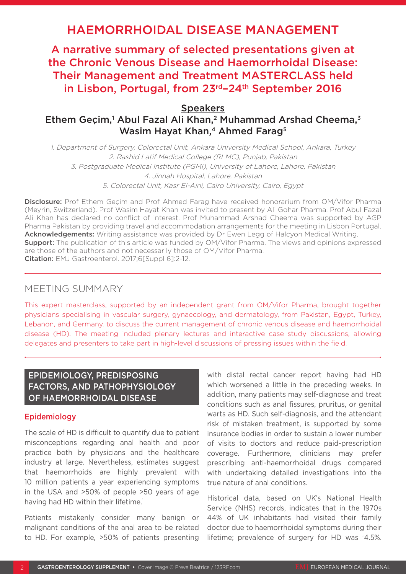# HAEMORRHOIDAL DISEASE MANAGEMENT

A narrative summary of selected presentations given at the Chronic Venous Disease and Haemorrhoidal Disease: Their Management and Treatment MASTERCLASS held in Lisbon, Portugal, from 23<sup>rd</sup>-24<sup>th</sup> September 2016

**Speakers** 

Ethem Geçim,<sup>1</sup> Abul Fazal Ali Khan,<sup>2</sup> Muhammad Arshad Cheema,<sup>3</sup> Wasim Hayat Khan,<sup>4</sup> Ahmed Farag<sup>5</sup>

1. Department of Surgery, Colorectal Unit, Ankara University Medical School, Ankara, Turkey 2. Rashid Latif Medical College (RLMC), Punjab, Pakistan 3. Postgraduate Medical Institute (PGMI), University of Lahore, Lahore, Pakistan 4. Jinnah Hospital, Lahore, Pakistan 5. Colorectal Unit, Kasr El-Aini, Cairo University, Cairo, Egypt

Disclosure: Prof Ethem Geçim and Prof Ahmed Farag have received honorarium from OM/Vifor Pharma (Meyrin, Switzerland). Prof Wasim Hayat Khan was invited to present by Ali Gohar Pharma. Prof Abul Fazal Ali Khan has declared no conflict of interest. Prof Muhammad Arshad Cheema was supported by AGP Pharma Pakistan by providing travel and accommodation arrangements for the meeting in Lisbon Portugal. Acknowledgements: Writing assistance was provided by Dr Ewen Legg of Halcyon Medical Writing. **Support:** The publication of this article was funded by OM/Vifor Pharma. The views and opinions expressed are those of the authors and not necessarily those of OM/Vifor Pharma. Citation: EMJ Gastroenterol. 2017;6[Suppl 6]:2-12.

# MEETING SUMMARY

This expert masterclass, supported by an independent grant from OM/Vifor Pharma, brought together physicians specialising in vascular surgery, gynaecology, and dermatology, from Pakistan, Egypt, Turkey, Lebanon, and Germany, to discuss the current management of chronic venous disease and haemorrhoidal disease (HD). The meeting included plenary lectures and interactive case study discussions, allowing delegates and presenters to take part in high-level discussions of pressing issues within the field.

# EPIDEMIOLOGY, PREDISPOSING FACTORS, AND PATHOPHYSIOLOGY OF HAEMORRHOIDAL DISEASE

#### Epidemiology

The scale of HD is difficult to quantify due to patient misconceptions regarding anal health and poor practice both by physicians and the healthcare industry at large. Nevertheless, estimates suggest that haemorrhoids are highly prevalent with 10 million patients a year experiencing symptoms in the USA and >50% of people >50 years of age having had HD within their lifetime.<sup>1</sup>

Patients mistakenly consider many benign or malignant conditions of the anal area to be related to HD. For example, >50% of patients presenting

with distal rectal cancer report having had HD which worsened a little in the preceding weeks. In addition, many patients may self-diagnose and treat conditions such as anal fissures, pruritus, or genital warts as HD. Such self-diagnosis, and the attendant risk of mistaken treatment, is supported by some insurance bodies in order to sustain a lower number of visits to doctors and reduce paid-prescription coverage. Furthermore, clinicians may prefer prescribing anti-haemorrhoidal drugs compared with undertaking detailed investigations into the true nature of anal conditions.

Historical data, based on UK's National Health Service (NHS) records, indicates that in the 1970s 44% of UK inhabitants had visited their family doctor due to haemorrhoidal symptoms during their lifetime; prevalence of surgery for HD was ~ 4.5%.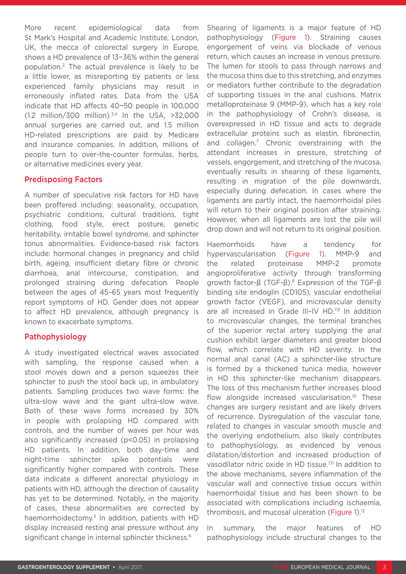More recent epidemiological data from St Mark's Hospital and Academic Institute, London, UK, the mecca of colorectal surgery in Europe, shows a HD prevalence of 13−36% within the general population.2 The actual prevalence is likely to be a little lower, as misreporting by patients or less experienced family physicians may result in erroneously inflated rates. Data from the USA indicate that HD affects 40−50 people in 100,000 (1.2 million/300 million).3,4 In the USA, >32,000 annual surgeries are carried out, and 1.5 million HD-related prescriptions are paid by Medicare and insurance companies. In addition, millions of people turn to over-the-counter formulas, herbs, or alternative medicines every year.

#### Predisposing Factors

A number of speculative risk factors for HD have been proffered including: seasonality, occupation, psychiatric conditions, cultural traditions, tight clothing, food style, erect posture, genetic heritability, irrıtable bowel syndrome, and sphincter tonus abnormalities. Evidence-based risk factors include: hormonal changes in pregnancy and child birth, ageing, insufficient dietary fibre or chronic diarrhoea, anal intercourse, constipation, and prolonged straining during defecation. People between the ages of 45–65 years most frequently report symptoms of HD. Gender does not appear to affect HD prevalence, although pregnancy is known to exacerbate symptoms.

#### Pathophysiology

A study investigated electrical waves associated with sampling, the response caused when a stool moves down and a person squeezes their sphincter to push the stool back up, in ambulatory patients. Sampling produces two wave forms: the ultra-slow wave and the giant ultra-slow wave. Both of these wave forms increased by 30% in people with prolapsing HD compared with controls, and the number of waves per hour was also significantly increased (p<0.05) in prolapsing HD patients. In addition, both day-time and night-time sphincter spike potentials were significantly higher compared with controls. These data indicate a different anorectal physiology in patients with HD, although the direction of causality has yet to be determined. Notably, in the majority of cases, these abnormalities are corrected by haemorrhoidectomy.<sup>5</sup> In addition, patients with HD display increased resting anal pressure without any significant change in internal sphincter thickness.<sup>6</sup>

Shearing of ligaments is a major feature of HD pathophysiology (Figure 1). Straining causes engorgement of veins via blockade of venous return, which causes an increase in venous pressure. The lumen for stools to pass through narrows and the mucosa thins due to this stretching, and enzymes or mediators further contribute to the degradation of supporting tissues in the anal cushions. Matrix metalloproteinase 9 (MMP-9), which has a key role in the pathophysiology of Crohn's disease, is overexpressed in HD tissue and acts to degrade extracellular proteins such as elastin, fibronectin, and collagen.7 Chronic overstraining with the attendant increases in pressure, stretching of vessels, engorgement, and stretching of the mucosa, eventually results in shearing of these ligaments, resulting in migration of the pile downwards, especially during defecation. In cases where the ligaments are partly intact, the haemorrhoidal piles will return to their original position after straining. However, when all ligaments are lost the pile will drop down and will not return to its original position.

Haemorrhoids have a tendency for hypervascularisation (Figure 1). MMP-9 and the related proteinase MMP-2 promote angioproliferative activity through transforming growth factor-β (TGF-β).8 Expression of the TGF-β binding site endoglin (CD105), vascular endothelial growth factor (VEGF), and microvascular density are all increased in Grade  $III$ –IV HD.<sup>7,9</sup> In addition to microvascular changes, the terminal branches of the superior rectal artery supplying the anal cushion exhibit larger diameters and greater blood flow, which correlate with HD severity. In the normal anal canal (AC) a sphincter-like structure is formed by a thickened tunica media, however in HD this sphincter-like mechanism disappears. The loss of this mechanism further increases blood flow alongside increased vascularisation.<sup>10</sup> These changes are surgery resistant and are likely drivers of recurrence. Dysregulation of the vascular tone, related to changes in vascular smooth muscle and the overlying endothelium, also likely contributes to pathophysiology, as evidenced by venous dilatation/distortion and increased production of vasodilator nitric oxide in HD tissue.<sup>7,11</sup> In addition to the above mechanisms, severe inflammation of the vascular wall and connective tissue occurs within haemorrhoidal tissue and has been shown to be associated with complications including ischaemia, thrombosis, and mucosal ulceration (Figure 1).12

In summary, the major features of HD pathophysiology include structural changes to the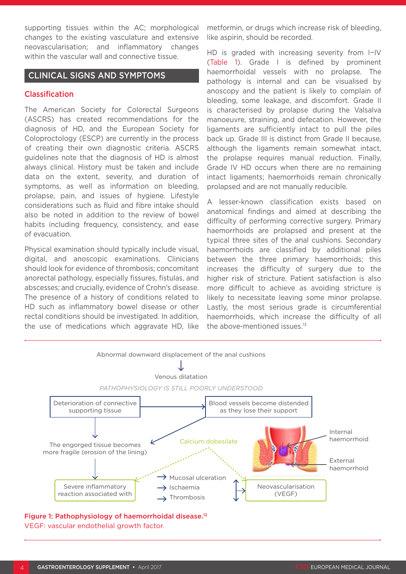supporting tissues within the AC; morphological changes to the existing vasculature and extensive neovascularisation; and inflammatory changes within the vascular wall and connective tissue.

### CLINICAL SIGNS AND SYMPTOMS

#### Classification

The American Society for Colorectal Surgeons (ASCRS) has created recommendations for the diagnosis of HD, and the European Society for Coloproctology (ESCP) are currently in the process of creating their own diagnostic criteria. ASCRS guidelines note that the diagnosis of HD is almost always clinical. History must be taken and include data on the extent, severity, and duration of symptoms, as well as information on bleeding, prolapse, pain, and issues of hygiene. Lifestyle considerations such as fluid and fibre intake should also be noted in addition to the review of bowel habits including frequency, consistency, and ease of evacuation.

Physical examination should typically include visual, digital, and anoscopic examinations. Clinicians should look for evidence of thrombosis; concomitant anorectal pathology, especially fissures, fistulas, and abscesses; and crucially, evidence of Crohn's disease. The presence of a history of conditions related to HD such as inflammatory bowel disease or other rectal conditions should be investigated. In addition, the use of medications which aggravate HD, like

metformin, or drugs which increase risk of bleeding, like aspirin, should be recorded.

HD is graded with increasing severity from I−IV (Table 1). Grade I is defined by prominent haemorrhoidal vessels with no prolapse. The pathology is internal and can be visualised by anoscopy and the patient is likely to complain of bleeding, some leakage, and discomfort. Grade II is characterised by prolapse during the Valsalva manoeuvre, straining, and defecation. However, the ligaments are sufficiently intact to pull the piles back up. Grade III is distinct from Grade II because, although the ligaments remain somewhat intact, the prolapse requires manual reduction. Finally, Grade IV HD occurs when there are no remaining intact ligaments; haemorrhoids remain chronically prolapsed and are not manually reducible.

A lesser-known classification exists based on anatomical findings and aimed at describing the difficulty of performing corrective surgery. Primary haemorrhoids are prolapsed and present at the typical three sites of the anal cushions. Secondary haemorrhoids are classified by additional piles between the three primary haemorrhoids; this increases the difficulty of surgery due to the higher risk of stricture. Patient satisfaction is also more difficult to achieve as avoiding stricture is likely to necessitate leaving some minor prolapse. Lastly, the most serious grade is circumferential haemorrhoids, which increase the difficulty of all the above-mentioned issues.13



#### Figure 1: Pathophysiology of haemorrhoidal disease.12 VEGF: vascular endothelial growth factor.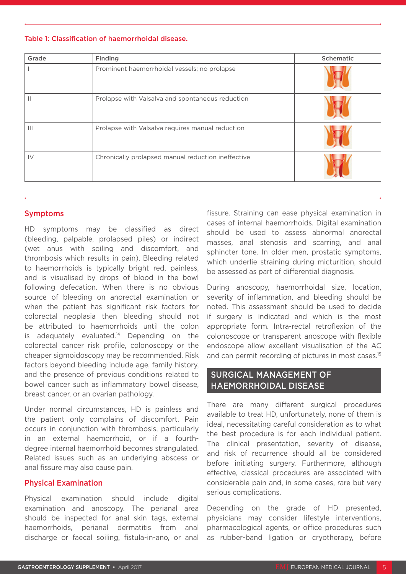Table 1: Classification of haemorrhoidal disease.

| Grade         | Finding                                            | Schematic |
|---------------|----------------------------------------------------|-----------|
|               | Prominent haemorrhoidal vessels; no prolapse       |           |
|               | Prolapse with Valsalva and spontaneous reduction   |           |
|               | Prolapse with Valsalva requires manual reduction   |           |
| $\mathsf{IV}$ | Chronically prolapsed manual reduction ineffective |           |

#### Symptoms

HD symptoms may be classified as direct (bleeding, palpable, prolapsed piles) or indirect (wet anus with soiling and discomfort, and thrombosis which results in pain). Bleeding related to haemorrhoids is typically bright red, painless, and is visualised by drops of blood in the bowl following defecation. When there is no obvious source of bleeding on anorectal examination or when the patient has significant risk factors for colorectal neoplasia then bleeding should not be attributed to haemorrhoids until the colon is adequately evaluated. $14$  Depending on the colorectal cancer risk profile, colonoscopy or the cheaper sigmoidoscopy may be recommended. Risk factors beyond bleeding include age, family history, and the presence of previous conditions related to bowel cancer such as inflammatory bowel disease, breast cancer, or an ovarian pathology.

Under normal circumstances, HD is painless and the patient only complains of discomfort. Pain occurs in conjunction with thrombosis, particularly in an external haemorrhoid, or if a fourthdegree internal haemorrhoid becomes strangulated. Related issues such as an underlying abscess or anal fissure may also cause pain.

#### Physical Examination

Physical examination should include digital examination and anoscopy. The perianal area should be inspected for anal skin tags, external haemorrhoids, perianal dermatitis from anal discharge or faecal soiling, fistula-in-ano, or anal

fissure. Straining can ease physical examination in cases of internal haemorrhoids. Digital examination should be used to assess abnormal anorectal masses, anal stenosis and scarring, and anal sphincter tone. In older men, prostatic symptoms, which underlie straining during micturition, should be assessed as part of differential diagnosis.

During anoscopy, haemorrhoidal size, location, severity of inflammation, and bleeding should be noted. This assessment should be used to decide if surgery is indicated and which is the most appropriate form. Intra-rectal retroflexion of the colonoscope or transparent anoscope with flexible endoscope allow excellent visualisation of the AC and can permit recording of pictures in most cases.<sup>15</sup>

# SURGICAL MANAGEMENT OF HAEMORRHOIDAL DISEASE

There are many different surgical procedures available to treat HD, unfortunately, none of them is ideal, necessitating careful consideration as to what the best procedure is for each individual patient. The clinical presentation, severity of disease, and risk of recurrence should all be considered before initiating surgery. Furthermore, although effective, classical procedures are associated with considerable pain and, in some cases, rare but very serious complications.

Depending on the grade of HD presented, physicians may consider lifestyle interventions, pharmacological agents, or office procedures such as rubber-band ligation or cryotherapy, before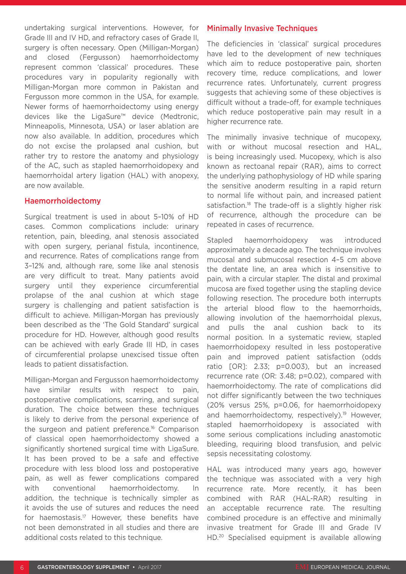undertaking surgical interventions. However, for Grade III and IV HD, and refractory cases of Grade II, surgery is often necessary. Open (Milligan-Morgan) and closed (Fergusson) haemorrhoidectomy represent common 'classical' procedures. These procedures vary in popularity regionally with Milligan-Morgan more common in Pakistan and Fergusson more common in the USA, for example. Newer forms of haemorrhoidectomy using energy devices like the LigaSure™ device (Medtronic, Minneapolis, Minnesota, USA) or laser ablation are now also available. In addition, procedures which do not excise the prolapsed anal cushion, but rather try to restore the anatomy and physiology of the AC, such as stapled haemorrhoidopexy and haemorrhoidal artery ligation (HAL) with anopexy, are now available.

#### Haemorrhoidectomy

Surgical treatment is used in about 5–10% of HD cases. Common complications include: urinary retention, pain, bleeding, anal stenosis associated with open surgery, perianal fistula, incontinence, and recurrence. Rates of complications range from 3–12% and, although rare, some like anal stenosis are very difficult to treat. Many patients avoid surgery until they experience circumferential prolapse of the anal cushion at which stage surgery is challenging and patient satisfaction is difficult to achieve. Milligan-Morgan has previously been described as the 'The Gold Standard' surgical procedure for HD. However, although good results can be achieved with early Grade III HD, in cases of circumferential prolapse unexcised tissue often leads to patient dissatisfaction.

Milligan-Morgan and Fergusson haemorrhoidectomy have similar results with respect to pain, postoperative complications, scarring, and surgical duration. The choice between these techniques is likely to derive from the personal experience of the surgeon and patient preference.16 Comparison of classical open haemorrhoidectomy showed a significantly shortened surgical time with LigaSure. It has been proved to be a safe and effective procedure with less blood loss and postoperative pain, as well as fewer complications compared with conventional haemorrhoidectomy. In addition, the technique is technically simpler as it avoids the use of sutures and reduces the need for haemostasis.17 However, these benefits have not been demonstrated in all studies and there are additional costs related to this technique.

#### Minimally Invasive Techniques

The deficiencies in 'classical' surgical procedures have led to the development of new techniques which aim to reduce postoperative pain, shorten recovery time, reduce complications, and lower recurrence rates. Unfortunately, current progress suggests that achieving some of these objectives is difficult without a trade-off, for example techniques which reduce postoperative pain may result in a higher recurrence rate.

The minimally invasive technique of mucopexy, with or without mucosal resection and HAL, is being increasingly used. Mucopexy, which is also known as rectoanal repair (RAR), aims to correct the underlying pathophysiology of HD while sparing the sensitive anoderm resulting in a rapid return to normal life without pain, and increased patient satisfaction.<sup>18</sup> The trade-off is a slightly higher risk of recurrence, although the procedure can be repeated in cases of recurrence.

Stapled haemorrhoidopexy was introduced approximately a decade ago. The technique involves mucosal and submucosal resection 4–5 cm above the dentate line, an area which is insensitive to pain, with a circular stapler. The distal and proximal mucosa are fixed together using the stapling device following resection. The procedure both interrupts the arterial blood flow to the haemorrhoids, allowing involution of the haemorrhoidal plexus, and pulls the anal cushion back to its normal position. In a systematic review, stapled haemorrhoidopexy resulted in less postoperative pain and improved patient satisfaction (odds ratio [OR]: 2.33; p=0.003), but an increased recurrence rate (OR: 3.48; p=0.02), compared with haemorrhoidectomy. The rate of complications did not differ significantly between the two techniques (20% versus 25%, p=0.06, for haemorrhoidopexy and haemorrhoidectomy, respectively).<sup>19</sup> However, stapled haemorrhoidopexy is associated with some serious complications including anastomotic bleeding, requiring blood transfusion, and pelvic sepsis necessitating colostomy.

HAL was introduced many years ago, however the technique was associated with a very high recurrence rate. More recently, it has been combined with RAR (HAL-RAR) resulting in an acceptable recurrence rate. The resulting combined procedure is an effective and minimally invasive treatment for Grade III and Grade IV HD.20 Specialised equipment is available allowing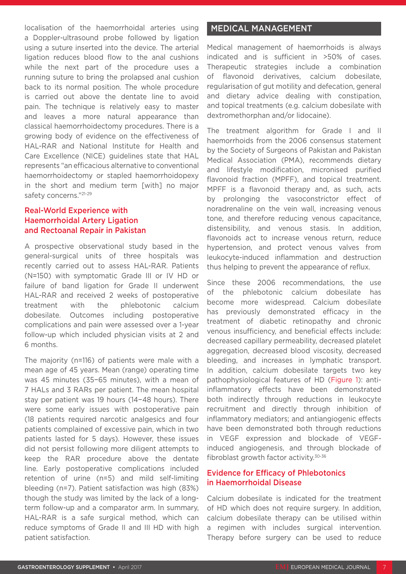localisation of the haemorrhoidal arteries using a Doppler-ultrasound probe followed by ligation using a suture inserted into the device. The arterial ligation reduces blood flow to the anal cushions while the next part of the procedure uses a running suture to bring the prolapsed anal cushion back to its normal position. The whole procedure is carried out above the dentate line to avoid pain. The technique is relatively easy to master and leaves a more natural appearance than classical haemorrhoidectomy procedures. There is a growing body of evidence on the effectiveness of HAL-RAR and National Institute for Health and Care Excellence (NICE) guidelines state that HAL represents "an efficacious alternative to conventional haemorrhoidectomy or stapled haemorrhoidopexy in the short and medium term [with] no major safety concerns."21-29

### Real-World Experience with Haemorrhoidal Artery Ligation and Rectoanal Repair in Pakistan

A prospective observational study based in the general-surgical units of three hospitals was recently carried out to assess HAL-RAR. Patients (N=150) with symptomatic Grade III or IV HD or failure of band ligation for Grade II underwent HAL-RAR and received 2 weeks of postoperative treatment with the phlebotonic calcium dobesilate. Outcomes including postoperative complications and pain were assessed over a 1-year follow-up which included physician visits at 2 and 6 months.

The majority (n=116) of patients were male with a mean age of 45 years. Mean (range) operating time was 45 minutes (35−65 minutes), with a mean of 7 HALs and 3 RARs per patient. The mean hospital stay per patient was 19 hours (14−48 hours). There were some early issues with postoperative pain (18 patients required narcotic analgesics and four patients complained of excessive pain, which in two patients lasted for 5 days). However, these issues did not persist following more diligent attempts to keep the RAR procedure above the dentate line. Early postoperative complications included retention of urine (n=5) and mild self-limiting bleeding (n=7). Patient satisfaction was high (83%) though the study was limited by the lack of a longterm follow-up and a comparator arm. In summary, HAL-RAR is a safe surgical method, which can reduce symptoms of Grade II and III HD with high patient satisfaction.

# MEDICAL MANAGEMENT

Medical management of haemorrhoids is always indicated and is sufficient in >50% of cases. Therapeutic strategies include a combination of flavonoid derivatives, calcium dobesilate, regularisation of gut motility and defecation, general and dietary advice dealing with constipation, and topical treatments (e.g. calcium dobesilate with dextromethorphan and/or lidocaine).

The treatment algorithm for Grade I and II haemorrhoids from the 2006 consensus statement by the Society of Surgeons of Pakistan and Pakistan Medical Association (PMA), recommends dietary and lifestyle modification, micronised purified flavonoid fraction (MPFF), and topical treatment. MPFF is a flavonoid therapy and, as such, acts by prolonging the vasoconstrictor effect of noradrenaline on the vein wall, increasing venous tone, and therefore reducing venous capacitance, distensibility, and venous stasis. In addition, flavonoids act to increase venous return, reduce hypertension, and protect venous valves from leukocyte-induced inflammation and destruction thus helping to prevent the appearance of reflux.

Since these 2006 recommendations, the use of the phlebotonic calcium dobesilate has become more widespread. Calcium dobesilate has previously demonstrated efficacy in the treatment of diabetic retinopathy and chronic venous insufficiency, and beneficial effects include: decreased capillary permeability, decreased platelet aggregation, decreased blood viscosity, decreased bleeding, and increases in lymphatic transport. In addition, calcium dobesilate targets two key pathophysiological features of HD (Figure 1): antiinflammatory effects have been demonstrated both indirectly through reductions in leukocyte recruitment and directly through inhibition of inflammatory mediators; and antiangiogenic effects have been demonstrated both through reductions in VEGF expression and blockade of VEGFinduced angiogenesis, and through blockade of fibroblast growth factor activity.30-36

### Evidence for Efficacy of Phlebotonics in Haemorrhoidal Disease

Calcium dobesilate is indicated for the treatment of HD which does not require surgery. In addition, calcium dobesilate therapy can be utilised within a regimen with includes surgical intervention. Therapy before surgery can be used to reduce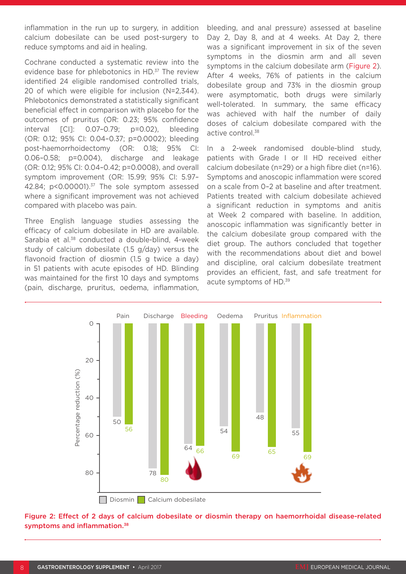inflammation in the run up to surgery, in addition calcium dobesilate can be used post-surgery to reduce symptoms and aid in healing.

Cochrane conducted a systematic review into the evidence base for phlebotonics in HD.<sup>37</sup> The review identified 24 eligible randomised controlled trials, 20 of which were eligible for inclusion (N=2,344). Phlebotonics demonstrated a statistically significant beneficial effect in comparison with placebo for the outcomes of pruritus (OR: 0.23; 95% confidence interval [CI]: 0.07–0.79; p=0.02), bleeding (OR: 0.12; 95% CI: 0.04–0.37; p=0.0002); bleeding post-haemorrhoidectomy (OR: 0.18; 95% CI: 0.06–0.58; p=0.004), discharge and leakage (OR: 0.12; 95% CI: 0.04–0.42; p=0.0008), and overall symptom improvement (OR: 15.99; 95% CI: 5.97– 42.84; p<0.00001).<sup>37</sup> The sole symptom assessed where a significant improvement was not achieved compared with placebo was pain.

Three English language studies assessing the efficacy of calcium dobesilate in HD are available. Sarabia et al.<sup>38</sup> conducted a double-blind, 4-week study of calcium dobesilate (1.5 g/day) versus the flavonoid fraction of diosmin (1.5 g twice a day) in 51 patients with acute episodes of HD. Blinding was maintained for the first 10 days and symptoms (pain, discharge, pruritus, oedema, inflammation, bleeding, and anal pressure) assessed at baseline Day 2, Day 8, and at 4 weeks. At Day 2, there was a significant improvement in six of the seven symptoms in the diosmin arm and all seven symptoms in the calcium dobesilate arm (Figure 2). After 4 weeks, 76% of patients in the calcium dobesilate group and 73% in the diosmin group were asymptomatic, both drugs were similarly well-tolerated. In summary, the same efficacy was achieved with half the number of daily doses of calcium dobesilate compared with the active control.<sup>38</sup>

In a 2-week randomised double-blind study, patients with Grade I or II HD received either calcium dobesilate (n=29) or a high fibre diet (n=16). Symptoms and anoscopic inflammation were scored on a scale from 0–2 at baseline and after treatment. Patients treated with calcium dobesilate achieved a significant reduction in symptoms and anitis at Week 2 compared with baseline. In addition, anoscopic inflammation was significantly better in the calcium dobesilate group compared with the diet group. The authors concluded that together with the recommendations about diet and bowel and discipline, oral calcium dobesilate treatment provides an efficient, fast, and safe treatment for acute symptoms of HD.39



Figure 2: Effect of 2 days of calcium dobesilate or diosmin therapy on haemorrhoidal disease-related symptoms and inflammation.<sup>38</sup>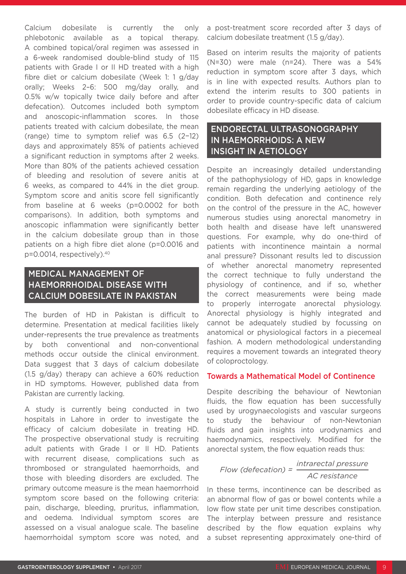Calcium dobesilate is currently the only phlebotonic available as a topical therapy. A combined topical/oral regimen was assessed in a 6-week randomised double-blind study of 115 patients with Grade I or II HD treated with a high fibre diet or calcium dobesilate (Week 1: 1 g/day orally; Weeks 2–6: 500 mg/day orally, and 0.5% w/w topically twice daily before and after defecation). Outcomes included both symptom and anoscopic-inflammation scores. In those patients treated with calcium dobesilate, the mean (range) time to symptom relief was 6.5 (2−12) days and approximately 85% of patients achieved a significant reduction in symptoms after 2 weeks. More than 80% of the patients achieved cessation of bleeding and resolution of severe anitis at 6 weeks, as compared to 44% in the diet group. Symptom score and anitis score fell significantly from baseline at 6 weeks (p=0.0002 for both comparisons). In addition, both symptoms and anoscopic inflammation were significantly better in the calcium dobesilate group than in those patients on a high fibre diet alone (p=0.0016 and p=0.0014, respectively).40

# MEDICAL MANAGEMENT OF HAEMORRHOIDAL DISEASE WITH CALCIUM DOBESILATE IN PAKISTAN

The burden of HD in Pakistan is difficult to determine. Presentation at medical facilities likely under-represents the true prevalence as treatments by both conventional and non-conventional methods occur outside the clinical environment. Data suggest that 3 days of calcium dobesilate (1.5 g/day) therapy can achieve a 60% reduction in HD symptoms. However, published data from Pakistan are currently lacking.

A study is currently being conducted in two hospitals in Lahore in order to investigate the efficacy of calcium dobesilate in treating HD. The prospective observational study is recruiting adult patients with Grade I or II HD. Patients with recurrent disease, complications such as thrombosed or strangulated haemorrhoids, and those with bleeding disorders are excluded. The primary outcome measure is the mean haemorrhoid symptom score based on the following criteria: pain, discharge, bleeding, pruritus, inflammation, and oedema. Individual symptom scores are assessed on a visual analogue scale. The baseline haemorrhoidal symptom score was noted, and

a post-treatment score recorded after 3 days of calcium dobesilate treatment (1.5 g/day).

Based on interim results the majority of patients (N=30) were male (n=24). There was a 54% reduction in symptom score after 3 days, which is in line with expected results. Authors plan to extend the interim results to 300 patients in order to provide country-specific data of calcium dobesilate efficacy in HD disease.

# ENDORECTAL ULTRASONOGRAPHY IN HAEMORRHOIDS: A NEW INSIGHT IN AETIOLOGY

Despite an increasingly detailed understanding of the pathophysiology of HD, gaps in knowledge remain regarding the underlying aetiology of the condition. Both defecation and continence rely on the control of the pressure in the AC, however numerous studies using anorectal manometry in both health and disease have left unanswered questions. For example, why do one-third of patients with incontinence maintain a normal anal pressure? Dissonant results led to discussion of whether anorectal manometry represented the correct technique to fully understand the physiology of continence, and if so, whether the correct measurements were being made to properly interrogate anorectal physiology. Anorectal physiology is highly integrated and cannot be adequately studied by focussing on anatomical or physiological factors in a piecemeal fashion. A modern methodological understanding requires a movement towards an integrated theory of coloproctology.

#### Towards a Mathematical Model of Continence

Despite describing the behaviour of Newtonian fluids, the flow equation has been successfully used by urogynaecologists and vascular surgeons to study the behaviour of non-Newtonian fluids and gain insights into urodynamics and haemodynamics, respectively. Modified for the anorectal system, the flow equation reads thus:

*intrarectal pressure AC resistance Flow (defecation) =*

In these terms, incontinence can be described as an abnormal flow of gas or bowel contents while a low flow state per unit time describes constipation. The interplay between pressure and resistance described by the flow equation explains why a subset representing approximately one-third of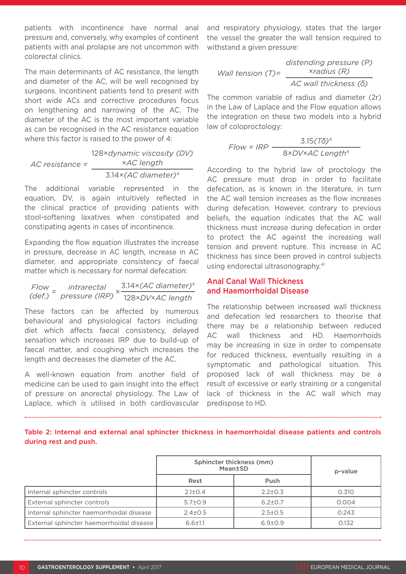patients with incontinence have normal anal pressure and, conversely, why examples of continent patients with anal prolapse are not uncommon with colorectal clinics.

The main determinants of AC resistance, the length and diameter of the AC, will be well recognised by surgeons. Incontinent patients tend to present with short wide ACs and corrective procedures focus on lengthening and narrowing of the AC. The diameter of the AC is the most important variable as can be recognised in the AC resistance equation where this factor is raised to the power of 4:

128×*dynamic viscosity (DV)* ×*AC length AC resistance =* 3.14×*(AC diameter)*<sup>4</sup>

The additional variable represented in the equation, DV, is again intuitively reflected in the clinical practice of providing patients with stool-softening laxatives when constipated and constipating agents in cases of incontinence.

Expanding the flow equation illustrates the increase in pressure, decrease in AC length, increase in AC diameter, and appropriate consistency of faecal matter which is necessary for normal defecation:

Flow = intrarectal  
(def.) = pressure (IRP) 
$$
\times \frac{3.14 \times (AC \ diameter)^4}{128 \times DV \times AC \ length}
$$

These factors can be affected by numerous behavioural and physiological factors including: diet which affects faecal consistency, delayed sensation which increases IRP due to build-up of faecal matter, and coughing which increases the length and decreases the diameter of the AC.

A well-known equation from another field of medicine can be used to gain insight into the effect of pressure on anorectal physiology. The Law of Laplace, which is utilised in both cardiovascular

and respiratory physiology, states that the larger the vessel the greater the wall tension required to withstand a given pressure:

$$
Wall tension (T) = \frac{distance (P)}{AC wall thickness (R)}
$$

The common variable of radius and diameter (2r) in the Law of Laplace and the Flow equation allows the integration on these two models into a hybrid law of coloproctology:

$$
Flow = IRP
$$

$$
\frac{3.15(T\delta)^4}{8 \times DV \times AC \ Length^4}
$$

According to the hybrid law of proctology the AC pressure must drop in order to facilitate defecation, as is known in the literature, in turn the AC wall tension increases as the flow increases during defecation. However, contrary to previous beliefs, the equation indicates that the AC wall thickness must increase during defecation in order to protect the AC against the increasing wall tension and prevent rupture. This increase in AC thickness has since been proved in control subjects using endorectal ultrasonography.<sup>41</sup>

#### Anal Canal Wall Thickness and Haemorrhoidal Disease

The relationship between increased wall thickness and defecation led researchers to theorise that there may be a relationship between reduced AC wall thickness and HD. Haemorrhoids may be increasing in size in order to compensate for reduced thickness, eventually resulting in a symptomatic and pathological situation. This proposed lack of wall thickness may be a result of excessive or early straining or a congenital lack of thickness in the AC wall which may predispose to HD.

Table 2: Internal and external anal sphincter thickness in haemorrhoidal disease patients and controls during rest and push.

|                                          | Sphincter thickness (mm)<br>Mean±SD |               | p-value |
|------------------------------------------|-------------------------------------|---------------|---------|
|                                          | Rest                                | Push          |         |
| Internal sphincter controls              | $2.1 \pm 0.4$                       | $2.2 \pm 0.3$ | 0.310   |
| External sphincter controls              | $5.7 \pm 0.9$                       | $6.2 \pm 0.7$ | 0.004   |
| Internal sphincter haemorrhoidal disease | $2.4 \pm 0.5$                       | $2.5 \pm 0.5$ | 0.243   |
| External sphincter haemorrhoidal disease | $6.6 \pm 1.1$                       | $6.9{\pm}0.9$ | 0.132   |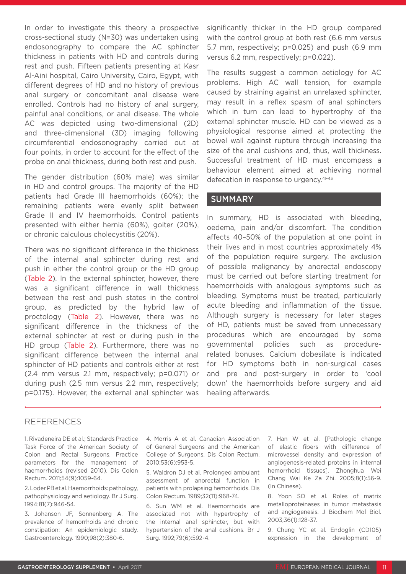In order to investigate this theory a prospective cross-sectional study (N=30) was undertaken using endosonography to compare the AC sphincter thickness in patients with HD and controls during rest and push. Fifteen patients presenting at Kasr Al-Aini hospital, Cairo University, Cairo, Egypt, with different degrees of HD and no history of previous anal surgery or concomitant anal disease were enrolled. Controls had no history of anal surgery, painful anal conditions, or anal disease. The whole AC was depicted using two-dimensional (2D) and three-dimensional (3D) imaging following circumferential endosonography carried out at four points, in order to account for the effect of the probe on anal thickness, during both rest and push.

The gender distribution (60% male) was similar in HD and control groups. The majority of the HD patients had Grade III haemorrhoids (60%); the remaining patients were evenly split between Grade II and IV haemorrhoids. Control patients presented with either hernia (60%), goiter (20%), or chronic calculous cholecystitis (20%).

There was no significant difference in the thickness of the internal anal sphincter during rest and push in either the control group or the HD group (Table 2). In the external sphincter, however, there was a significant difference in wall thickness between the rest and push states in the control group, as predicted by the hybrid law of proctology (Table 2). However, there was no significant difference in the thickness of the external sphincter at rest or during push in the HD group (Table 2). Furthermore, there was no significant difference between the internal anal sphincter of HD patients and controls either at rest (2.4 mm versus 2.1 mm, respectively; p=0.071) or during push (2.5 mm versus 2.2 mm, respectively; p=0.175). However, the external anal sphincter was

significantly thicker in the HD group compared with the control group at both rest (6.6 mm versus 5.7 mm, respectively; p=0.025) and push (6.9 mm versus 6.2 mm, respectively; p=0.022).

The results suggest a common aetiology for AC problems. High AC wall tension, for example caused by straining against an unrelaxed sphincter, may result in a reflex spasm of anal sphincters which in turn can lead to hypertrophy of the external sphincter muscle. HD can be viewed as a physiological response aimed at protecting the bowel wall against rupture through increasing the size of the anal cushions and, thus, wall thickness. Successful treatment of HD must encompass a behaviour element aimed at achieving normal defecation in response to urgency.41-43

#### **SUMMARY**

In summary, HD is associated with bleeding, oedema, pain and/or discomfort. The condition affects 40–50% of the population at one point in their lives and in most countries approximately 4% of the population require surgery. The exclusion of possible malignancy by anorectal endoscopy must be carried out before starting treatment for haemorrhoids with analogous symptoms such as bleeding. Symptoms must be treated, particularly acute bleeding and inflammation of the tissue. Although surgery is necessary for later stages of HD, patients must be saved from unnecessary procedures which are encouraged by some governmental policies such as procedurerelated bonuses. Calcium dobesilate is indicated for HD symptoms both in non-surgical cases and pre and post-surgery in order to 'cool down' the haemorrhoids before surgery and aid healing afterwards.

#### REFERENCES

1. Rivadeneira DE et al.; Standards Practice Task Force of the American Society of Colon and Rectal Surgeons. Practice parameters for the management of haemorrhoids (revised 2010). Dis Colon Rectum. 2011;54(9):1059-64.

2. Loder PB et al. Haemorrhoids: pathology, pathophysiology and aetiology. Br J Surg. 1994;81(7):946-54.

3. Johanson JF, Sonnenberg A. The prevalence of hemorrhoids and chronic constipation: An epidemiologic study. Gastroenterology. 1990;98(2):380-6.

4. Morris A et al. Canadian Association of General Surgeons and the American College of Surgeons. Dis Colon Rectum. 2010;53(6):953-5.

5. Waldron DJ et al. Prolonged ambulant assessment of anorectal function in patients with prolapsing hemorrhoids. Dis Colon Rectum. 1989;32(11):968-74.

6. Sun WM et al. Haemorrhoids are associated not with hypertrophy of the internal anal sphincter, but with hypertension of the anal cushions. Br J Surg. 1992;79(6):592-4.

7. Han W et al. [Pathologic change of elastic fibers with difference of microvessel density and expression of angiogenesis-related proteins in internal hemorrhoid tissues]. Zhonghua Wei Chang Wai Ke Za Zhi. 2005;8(1):56-9. (In Chinese).

8. Yoon SO et al. Roles of matrix metalloproteinases in tumor metastasis and angiogenesis. J Biochem Mol Biol. 2003;36(1):128-37.

9. Chung YC et al. Endoglin (CD105) expression in the development of